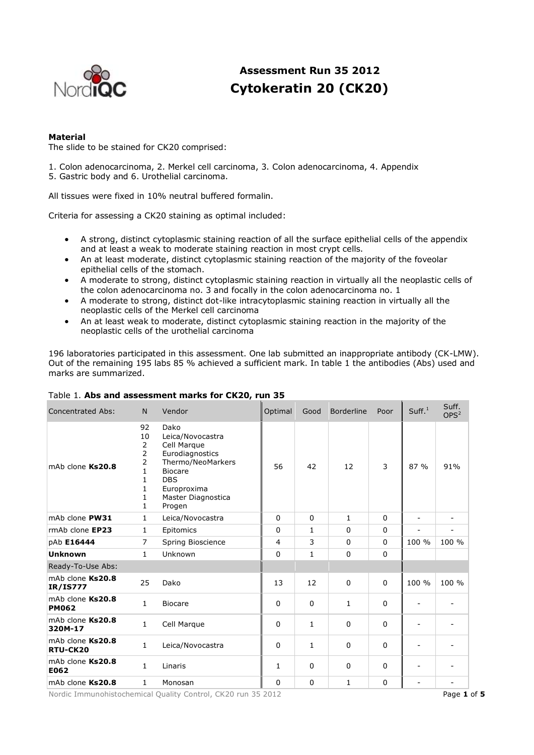

# **Assessment Run 35 2012 Cytokeratin 20 (CK20)**

## **Material**

The slide to be stained for CK20 comprised:

1. Colon adenocarcinoma, 2. Merkel cell carcinoma, 3. Colon adenocarcinoma, 4. Appendix 5. Gastric body and 6. Urothelial carcinoma.

All tissues were fixed in 10% neutral buffered formalin.

Criteria for assessing a CK20 staining as optimal included:

- A strong, distinct cytoplasmic staining reaction of all the surface epithelial cells of the appendix and at least a weak to moderate staining reaction in most crypt cells.
- An at least moderate, distinct cytoplasmic staining reaction of the majority of the foveolar epithelial cells of the stomach.
- A moderate to strong, distinct cytoplasmic staining reaction in virtually all the neoplastic cells of the colon adenocarcinoma no. 3 and focally in the colon adenocarcinoma no. 1
- A moderate to strong, distinct dot-like intracytoplasmic staining reaction in virtually all the neoplastic cells of the Merkel cell carcinoma
- An at least weak to moderate, distinct cytoplasmic staining reaction in the majority of the neoplastic cells of the urothelial carcinoma

196 laboratories participated in this assessment. One lab submitted an inappropriate antibody (CK-LMW). Out of the remaining 195 labs 85 % achieved a sufficient mark. In table 1 the antibodies (Abs) used and marks are summarized.

| <b>Concentrated Abs:</b>            | N                                                | Vendor                                                                                                                                                         | Optimal      | Good         | Borderline  | Poor     | Suff. <sup>1</sup> | Suff.<br>OPS <sup>2</sup> |
|-------------------------------------|--------------------------------------------------|----------------------------------------------------------------------------------------------------------------------------------------------------------------|--------------|--------------|-------------|----------|--------------------|---------------------------|
| mAb clone Ks20.8                    | 92<br>10<br>2<br>2<br>2<br>1<br>1<br>1<br>1<br>1 | Dako<br>Leica/Novocastra<br>Cell Marque<br>Eurodiagnostics<br>Thermo/NeoMarkers<br><b>Biocare</b><br><b>DBS</b><br>Europroxima<br>Master Diagnostica<br>Progen | 56           | 42           | 12          | 3        | 87 %               | 91%                       |
| mAb clone PW31                      | 1                                                | Leica/Novocastra                                                                                                                                               | $\Omega$     | $\Omega$     | 1           | $\Omega$ | -                  | ۰                         |
| rmAb clone EP23                     | 1                                                | Epitomics                                                                                                                                                      | $\mathbf 0$  | 1            | 0           | $\Omega$ |                    |                           |
| pAb E16444                          | $\overline{7}$                                   | Spring Bioscience                                                                                                                                              | 4            | 3            | 0           | $\Omega$ | 100 %              | 100 %                     |
| <b>Unknown</b>                      | $\mathbf{1}$                                     | Unknown                                                                                                                                                        | $\Omega$     | $\mathbf{1}$ | $\Omega$    | $\Omega$ |                    |                           |
| Ready-To-Use Abs:                   |                                                  |                                                                                                                                                                |              |              |             |          |                    |                           |
| mAb clone Ks20.8<br><b>IR/IS777</b> | 25                                               | Dako                                                                                                                                                           | 13           | 12           | 0           | $\Omega$ | 100 %              | 100 %                     |
| mAb clone Ks20.8<br><b>PM062</b>    | $\mathbf{1}$                                     | <b>Biocare</b>                                                                                                                                                 | $\Omega$     | $\Omega$     | 1           | $\Omega$ |                    |                           |
| mAb clone Ks20.8<br>320M-17         | $\mathbf{1}$                                     | Cell Marque                                                                                                                                                    | $\mathbf 0$  | 1            | $\mathbf 0$ | $\Omega$ |                    |                           |
| mAb clone Ks20.8<br>RTU-CK20        | 1                                                | Leica/Novocastra                                                                                                                                               | 0            | 1            | 0           | $\Omega$ |                    |                           |
| mAb clone Ks20.8<br>E062            | $\mathbf{1}$                                     | Linaris                                                                                                                                                        | $\mathbf{1}$ | $\Omega$     | 0           | $\Omega$ |                    |                           |
| mAb clone Ks20.8                    | 1                                                | Monosan                                                                                                                                                        | $\mathbf 0$  | 0            | 1           | 0        |                    |                           |

# Table 1. **Abs and assessment marks for CK20, run 35**

Nordic Immunohistochemical Quality Control, CK20 run 35 2012 Page **1** of **5**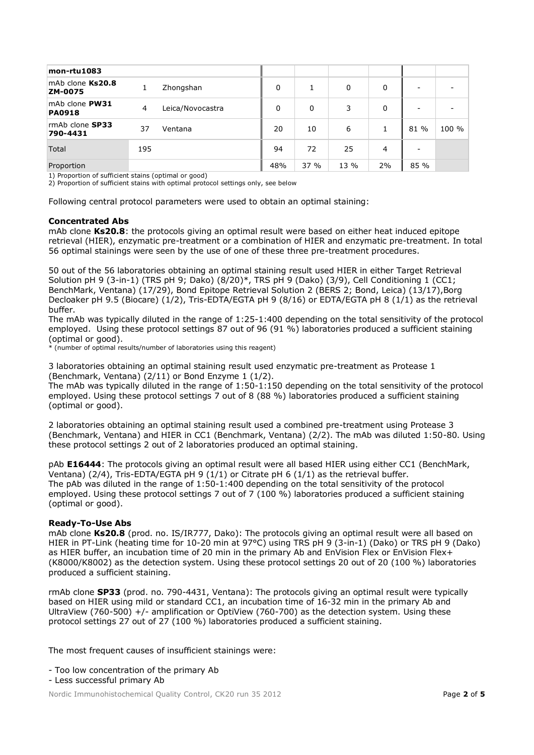| mon-rtu1083                     |     |                  |     |     |      |    |      |       |
|---------------------------------|-----|------------------|-----|-----|------|----|------|-------|
| mAb clone Ks20.8<br>ZM-0075     |     | Zhongshan        | 0   |     | 0    | 0  |      |       |
| mAb clone PW31<br><b>PA0918</b> | 4   | Leica/Novocastra | 0   | 0   | 3    | 0  |      |       |
| rmAb clone SP33<br>790-4431     | 37  | Ventana          | 20  | 10  | 6    |    | 81 % | 100 % |
| <b>Total</b>                    | 195 |                  | 94  | 72  | 25   | 4  |      |       |
| Proportion                      |     |                  | 48% | 37% | 13 % | 2% | 85 % |       |

1) Proportion of sufficient stains (optimal or good)

2) Proportion of sufficient stains with optimal protocol settings only, see below

Following central protocol parameters were used to obtain an optimal staining:

#### **Concentrated Abs**

mAb clone **Ks20.8**: the protocols giving an optimal result were based on either heat induced epitope retrieval (HIER), enzymatic pre-treatment or a combination of HIER and enzymatic pre-treatment. In total 56 optimal stainings were seen by the use of one of these three pre-treatment procedures.

50 out of the 56 laboratories obtaining an optimal staining result used HIER in either Target Retrieval Solution pH 9 (3-in-1) (TRS pH 9; Dako) (8/20)\*, TRS pH 9 (Dako) (3/9), Cell Conditioning 1 (CC1; BenchMark, Ventana) (17/29), Bond Epitope Retrieval Solution 2 (BERS 2; Bond, Leica) (13/17), Borg Decloaker pH 9.5 (Biocare) (1/2), Tris-EDTA/EGTA pH 9 (8/16) or EDTA/EGTA pH 8 (1/1) as the retrieval buffer.

The mAb was typically diluted in the range of 1:25-1:400 depending on the total sensitivity of the protocol employed. Using these protocol settings 87 out of 96 (91 %) laboratories produced a sufficient staining (optimal or good).

\* (number of optimal results/number of laboratories using this reagent)

3 laboratories obtaining an optimal staining result used enzymatic pre-treatment as Protease 1 (Benchmark, Ventana) (2/11) or Bond Enzyme 1 (1/2).

The mAb was typically diluted in the range of 1:50-1:150 depending on the total sensitivity of the protocol employed. Using these protocol settings 7 out of 8 (88 %) laboratories produced a sufficient staining (optimal or good).

2 laboratories obtaining an optimal staining result used a combined pre-treatment using Protease 3 (Benchmark, Ventana) and HIER in CC1 (Benchmark, Ventana) (2/2). The mAb was diluted 1:50-80. Using these protocol settings 2 out of 2 laboratories produced an optimal staining.

pAb **E16444**: The protocols giving an optimal result were all based HIER using either CC1 (BenchMark, Ventana) (2/4), Tris-EDTA/EGTA pH 9 (1/1) or Citrate pH 6 (1/1) as the retrieval buffer. The pAb was diluted in the range of 1:50-1:400 depending on the total sensitivity of the protocol employed. Using these protocol settings 7 out of 7 (100 %) laboratories produced a sufficient staining (optimal or good).

## **Ready-To-Use Abs**

mAb clone **Ks20.8** (prod. no. IS/IR777, Dako): The protocols giving an optimal result were all based on HIER in PT-Link (heating time for 10-20 min at 97°C) using TRS pH 9 (3-in-1) (Dako) or TRS pH 9 (Dako) as HIER buffer, an incubation time of 20 min in the primary Ab and EnVision Flex or EnVision Flex+ (K8000/K8002) as the detection system. Using these protocol settings 20 out of 20 (100 %) laboratories produced a sufficient staining.

rmAb clone **SP33** (prod. no. 790-4431, Ventana): The protocols giving an optimal result were typically based on HIER using mild or standard CC1, an incubation time of 16-32 min in the primary Ab and UltraView (760-500) +/- amplification or OptiView (760-700) as the detection system. Using these protocol settings 27 out of 27 (100 %) laboratories produced a sufficient staining.

The most frequent causes of insufficient stainings were:

- Too low concentration of the primary Ab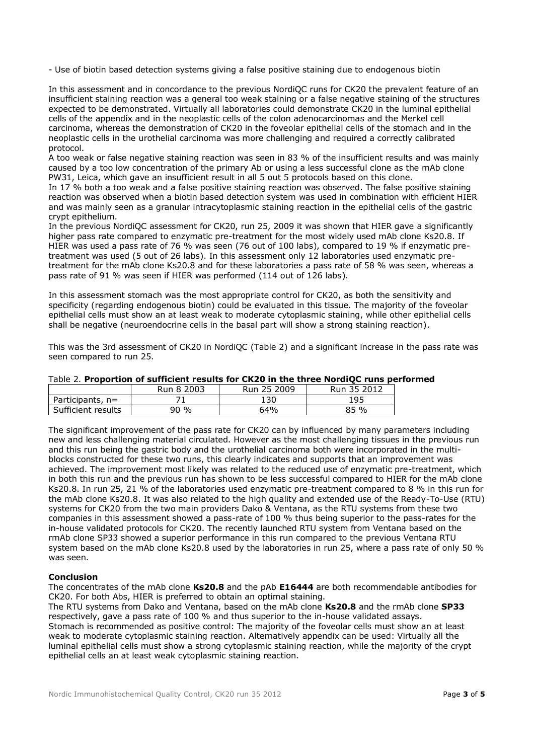- Use of biotin based detection systems giving a false positive staining due to endogenous biotin

In this assessment and in concordance to the previous NordiQC runs for CK20 the prevalent feature of an insufficient staining reaction was a general too weak staining or a false negative staining of the structures expected to be demonstrated. Virtually all laboratories could demonstrate CK20 in the luminal epithelial cells of the appendix and in the neoplastic cells of the colon adenocarcinomas and the Merkel cell carcinoma, whereas the demonstration of CK20 in the foveolar epithelial cells of the stomach and in the neoplastic cells in the urothelial carcinoma was more challenging and required a correctly calibrated protocol.

A too weak or false negative staining reaction was seen in 83 % of the insufficient results and was mainly caused by a too low concentration of the primary Ab or using a less successful clone as the mAb clone PW31, Leica, which gave an insufficient result in all 5 out 5 protocols based on this clone.

In 17 % both a too weak and a false positive staining reaction was observed. The false positive staining reaction was observed when a biotin based detection system was used in combination with efficient HIER and was mainly seen as a granular intracytoplasmic staining reaction in the epithelial cells of the gastric crypt epithelium.

In the previous NordiQC assessment for CK20, run 25, 2009 it was shown that HIER gave a significantly higher pass rate compared to enzymatic pre-treatment for the most widely used mAb clone Ks20.8. If HIER was used a pass rate of 76 % was seen (76 out of 100 labs), compared to 19 % if enzymatic pretreatment was used (5 out of 26 labs). In this assessment only 12 laboratories used enzymatic pretreatment for the mAb clone Ks20.8 and for these laboratories a pass rate of 58 % was seen, whereas a pass rate of 91 % was seen if HIER was performed (114 out of 126 labs).

In this assessment stomach was the most appropriate control for CK20, as both the sensitivity and specificity (regarding endogenous biotin) could be evaluated in this tissue. The majority of the foveolar epithelial cells must show an at least weak to moderate cytoplasmic staining, while other epithelial cells shall be negative (neuroendocrine cells in the basal part will show a strong staining reaction).

This was the 3rd assessment of CK20 in NordiQC (Table 2) and a significant increase in the pass rate was seen compared to run 25.

Table 2. **Proportion of sufficient results for CK20 in the three NordiQC runs performed**

|                    | Run 8 2003 | Run 25 2009 | Run 35 2012 |
|--------------------|------------|-------------|-------------|
| Participants, $n=$ |            | 130         | 195         |
| Sufficient results | 90%        | 64%         | 85%         |

The significant improvement of the pass rate for CK20 can by influenced by many parameters including new and less challenging material circulated. However as the most challenging tissues in the previous run and this run being the gastric body and the urothelial carcinoma both were incorporated in the multiblocks constructed for these two runs, this clearly indicates and supports that an improvement was achieved. The improvement most likely was related to the reduced use of enzymatic pre-treatment, which in both this run and the previous run has shown to be less successful compared to HIER for the mAb clone Ks20.8. In run 25, 21 % of the laboratories used enzymatic pre-treatment compared to 8 % in this run for the mAb clone Ks20.8. It was also related to the high quality and extended use of the Ready-To-Use (RTU) systems for CK20 from the two main providers Dako & Ventana, as the RTU systems from these two companies in this assessment showed a pass-rate of 100 % thus being superior to the pass-rates for the in-house validated protocols for CK20. The recently launched RTU system from Ventana based on the rmAb clone SP33 showed a superior performance in this run compared to the previous Ventana RTU system based on the mAb clone Ks20.8 used by the laboratories in run 25, where a pass rate of only 50 % was seen.

## **Conclusion**

The concentrates of the mAb clone **Ks20.8** and the pAb **E16444** are both recommendable antibodies for CK20. For both Abs, HIER is preferred to obtain an optimal staining.

The RTU systems from Dako and Ventana, based on the mAb clone **Ks20.8** and the rmAb clone **SP33** respectively, gave a pass rate of 100 % and thus superior to the in-house validated assays. Stomach is recommended as positive control: The majority of the foveolar cells must show an at least weak to moderate cytoplasmic staining reaction. Alternatively appendix can be used: Virtually all the luminal epithelial cells must show a strong cytoplasmic staining reaction, while the majority of the crypt epithelial cells an at least weak cytoplasmic staining reaction.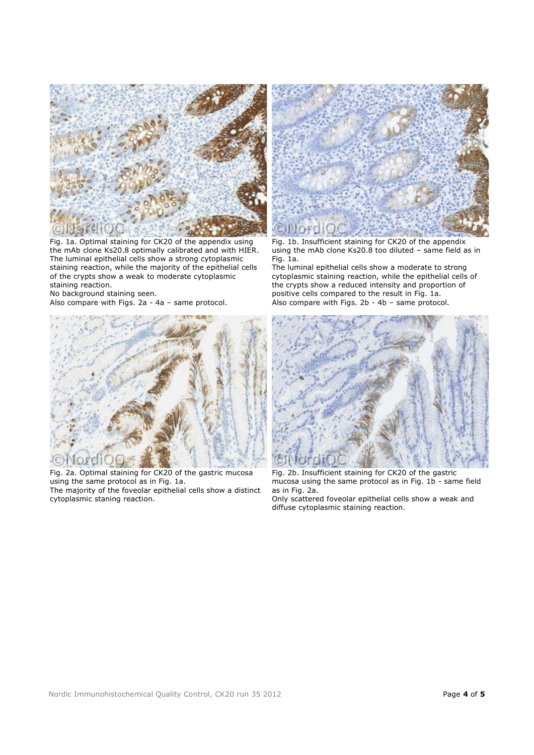

Fig. 1a. Optimal staining for CK20 of the appendix using the mAb clone Ks20.8 optimally calibrated and with HIER. The luminal epithelial cells show a strong cytoplasmic staining reaction, while the majority of the epithelial cells of the crypts show a weak to moderate cytoplasmic staining reaction.

No background staining seen.

Also compare with Figs. 2a - 4a – same protocol.



Fig. 2a. Optimal staining for CK20 of the gastric mucosa using the same protocol as in Fig. 1a. The majority of the foveolar epithelial cells show a distinct cytoplasmic staning reaction.



Fig. 1b. Insufficient staining for CK20 of the appendix using the mAb clone Ks20.8 too diluted – same field as in Fig. 1a.

The luminal epithelial cells show a moderate to strong cytoplasmic staining reaction, while the epithelial cells of the crypts show a reduced intensity and proportion of positive cells compared to the result in Fig. 1a. Also compare with Figs. 2b - 4b – same protocol.



Fig. 2b. Insufficient staining for CK20 of the gastric mucosa using the same protocol as in Fig. 1b - same field as in Fig. 2a. Only scattered foveolar epithelial cells show a weak and diffuse cytoplasmic staining reaction.